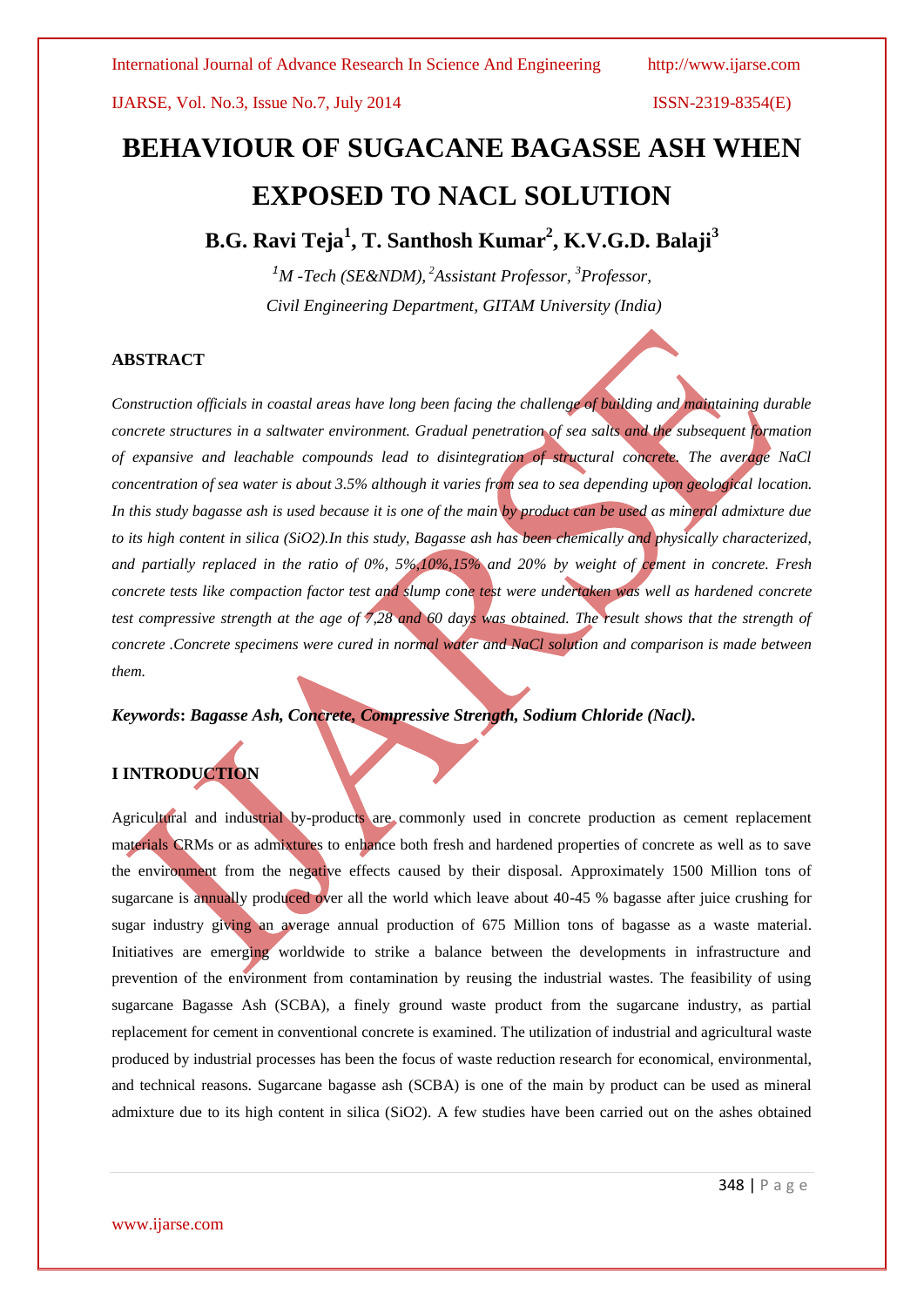IJARSE, Vol. No.3, Issue No.7, July 2014 ISSN-2319-8354(E)

# **BEHAVIOUR OF SUGACANE BAGASSE ASH WHEN EXPOSED TO NACL SOLUTION**

# **B.G. Ravi Teja<sup>1</sup> , T. Santhosh Kumar<sup>2</sup> , K.V.G.D. Balaji<sup>3</sup>**

*<sup>1</sup>M -Tech (SE&NDM), <sup>2</sup>Assistant Professor, <sup>3</sup>Professor, Civil Engineering Department, GITAM University (India)*

#### **ABSTRACT**

*Construction officials in coastal areas have long been facing the challenge of building and maintaining durable concrete structures in a saltwater environment. Gradual penetration of sea salts and the subsequent formation of expansive and leachable compounds lead to disintegration of structural concrete. The average NaCl concentration of sea water is about 3.5% although it varies from sea to sea depending upon geological location.*  In this study bagasse ash is used because it is one of the main by product can be used as mineral admixture due *to its high content in silica (SiO2).In this study, Bagasse ash has been chemically and physically characterized, and partially replaced in the ratio of 0%, 5%,10%,15% and 20% by weight of cement in concrete. Fresh concrete tests like compaction factor test and slump cone test were undertaken was well as hardened concrete test compressive strength at the age of 7,28 and 60 days was obtained. The result shows that the strength of concrete .Concrete specimens were cured in normal water and NaCl solution and comparison is made between them.*

*Keywords***:** *Bagasse Ash, Concrete, Compressive Strength, Sodium Chloride (Nacl).*

### **I INTRODUCTION**

Agricultural and industrial by-products are commonly used in concrete production as cement replacement materials CRMs or as admixtures to enhance both fresh and hardened properties of concrete as well as to save the environment from the negative effects caused by their disposal. Approximately 1500 Million tons of sugarcane is annually produced over all the world which leave about 40-45 % bagasse after juice crushing for sugar industry giving an average annual production of 675 Million tons of bagasse as a waste material. Initiatives are emerging worldwide to strike a balance between the developments in infrastructure and prevention of the environment from contamination by reusing the industrial wastes. The feasibility of using sugarcane Bagasse Ash (SCBA), a finely ground waste product from the sugarcane industry, as partial replacement for cement in conventional concrete is examined. The utilization of industrial and agricultural waste produced by industrial processes has been the focus of waste reduction research for economical, environmental, and technical reasons. Sugarcane bagasse ash (SCBA) is one of the main by product can be used as mineral admixture due to its high content in silica (SiO2). A few studies have been carried out on the ashes obtained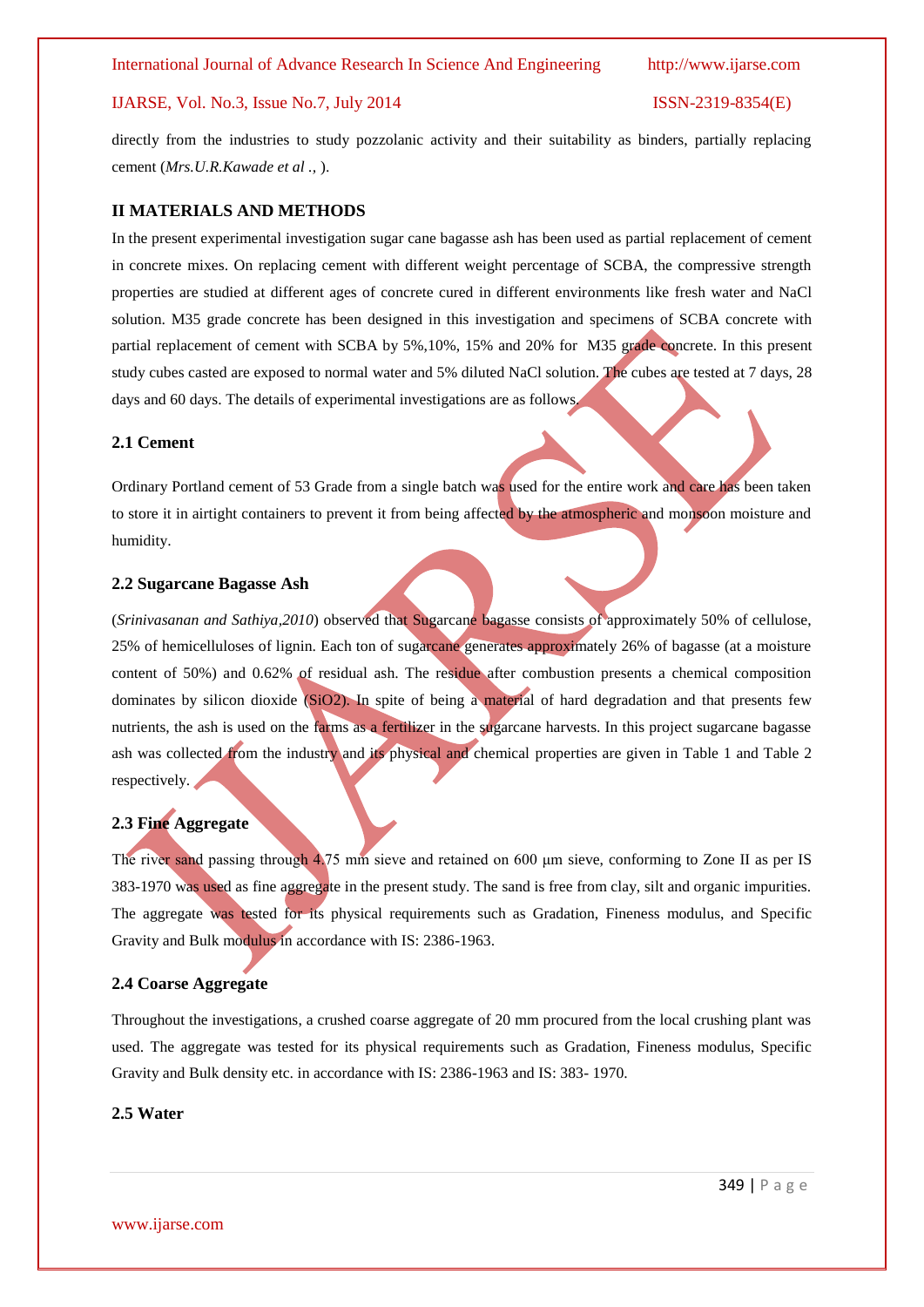#### IJARSE, Vol. No.3, Issue No.7, July 2014 ISSN-2319-8354(E)

directly from the industries to study pozzolanic activity and their suitability as binders, partially replacing cement (*Mrs.U.R.Kawade et al .,* ).

#### **II MATERIALS AND METHODS**

In the present experimental investigation sugar cane bagasse ash has been used as partial replacement of cement in concrete mixes. On replacing cement with different weight percentage of SCBA, the compressive strength properties are studied at different ages of concrete cured in different environments like fresh water and NaCl solution. M35 grade concrete has been designed in this investigation and specimens of SCBA concrete with partial replacement of cement with SCBA by 5%,10%, 15% and 20% for M35 grade concrete. In this present study cubes casted are exposed to normal water and 5% diluted NaCl solution. The cubes are tested at 7 days, 28 days and 60 days. The details of experimental investigations are as follows.

#### **2.1 Cement**

Ordinary Portland cement of 53 Grade from a single batch was used for the entire work and care has been taken to store it in airtight containers to prevent it from being affected by the atmospheric and monsoon moisture and humidity.

#### **2.2 Sugarcane Bagasse Ash**

(*Srinivasanan and Sathiya,2010*) observed that Sugarcane bagasse consists of approximately 50% of cellulose, 25% of hemicelluloses of lignin. Each ton of sugarcane generates approximately 26% of bagasse (at a moisture content of 50%) and 0.62% of residual ash. The residue after combustion presents a chemical composition dominates by silicon dioxide (SiO2). In spite of being a material of hard degradation and that presents few nutrients, the ash is used on the farms as a fertilizer in the sugarcane harvests. In this project sugarcane bagasse ash was collected from the industry and its physical and chemical properties are given in Table 1 and Table 2 respectively.

# **2.3 Fine Aggregate**

The river sand passing through 4.75 mm sieve and retained on 600 μm sieve, conforming to Zone II as per IS 383-1970 was used as fine aggregate in the present study. The sand is free from clay, silt and organic impurities. The aggregate was tested for its physical requirements such as Gradation, Fineness modulus, and Specific Gravity and Bulk modulus in accordance with IS: 2386-1963.

#### **2.4 Coarse Aggregate**

Throughout the investigations, a crushed coarse aggregate of 20 mm procured from the local crushing plant was used. The aggregate was tested for its physical requirements such as Gradation, Fineness modulus, Specific Gravity and Bulk density etc. in accordance with IS: 2386-1963 and IS: 383- 1970.

#### **2.5 Water**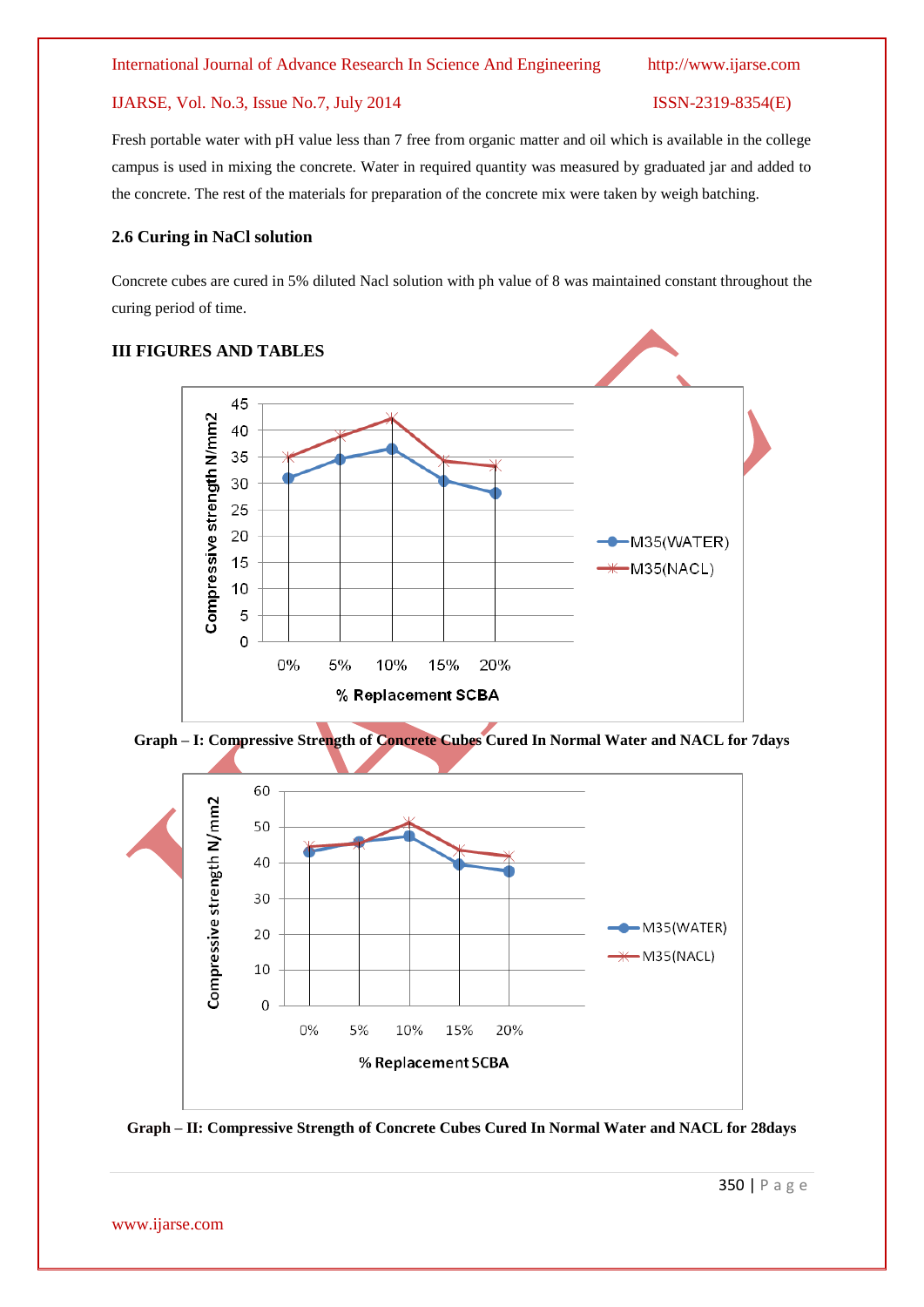### IJARSE, Vol. No.3, Issue No.7, July 2014 ISSN-2319-8354(E)

Fresh portable water with pH value less than 7 free from organic matter and oil which is available in the college campus is used in mixing the concrete. Water in required quantity was measured by graduated jar and added to the concrete. The rest of the materials for preparation of the concrete mix were taken by weigh batching.

### **2.6 Curing in NaCl solution**

Concrete cubes are cured in 5% diluted Nacl solution with ph value of 8 was maintained constant throughout the curing period of time.

### **III FIGURES AND TABLES**







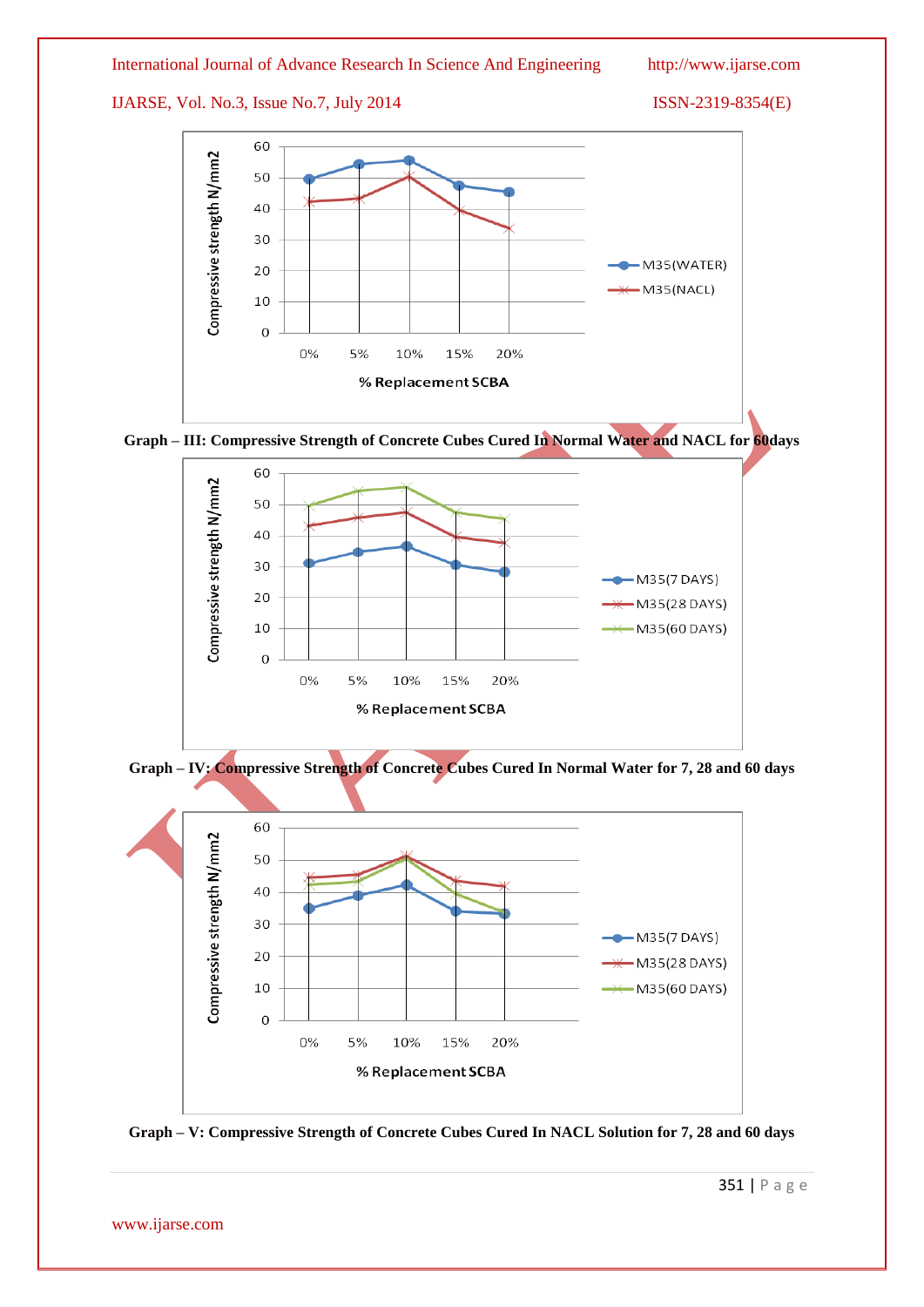IJARSE, Vol. No.3, Issue No.7, July 2014 ISSN-2319-8354(E)







**Graph – IV: Compressive Strength of Concrete Cubes Cured In Normal Water for 7, 28 and 60 days**



**Graph – V: Compressive Strength of Concrete Cubes Cured In NACL Solution for 7, 28 and 60 days**

www.ijarse.com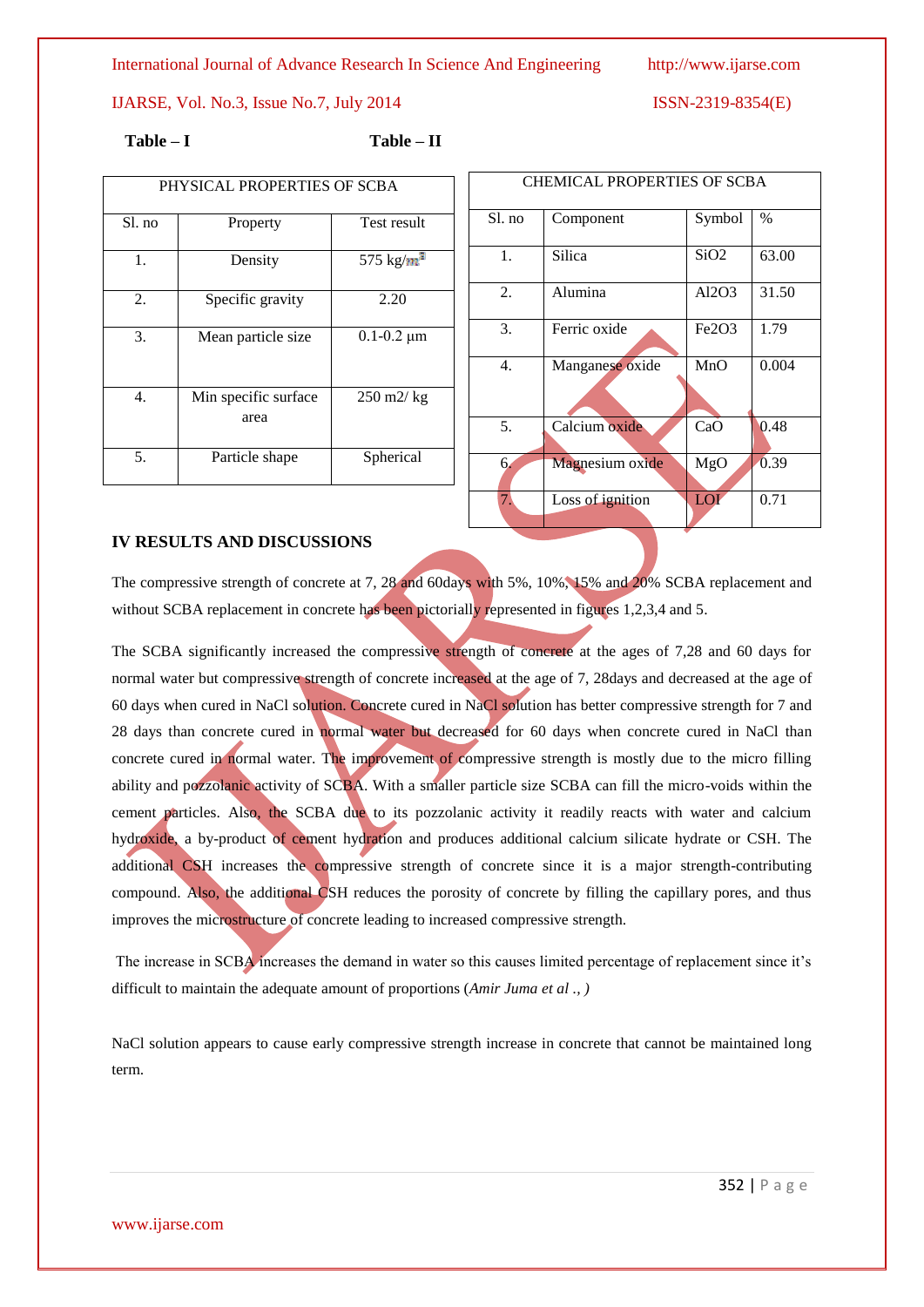IJARSE, Vol. No.3, Issue No.7, July 2014 ISSN-2319-8354(E)

**Table – I Table – II**

| PHYSICAL PROPERTIES OF SCBA |                              |                                   |  |  |
|-----------------------------|------------------------------|-----------------------------------|--|--|
| Sl. no                      | Property                     | Test result                       |  |  |
| 1.                          | Density                      | 575 kg/ $m^3$                     |  |  |
| 2.                          | Specific gravity             | 2.20                              |  |  |
| 3.                          | Mean particle size           | $0.1 - 0.2 \mu m$                 |  |  |
| $\overline{4}$ .            | Min specific surface<br>area | $250 \frac{\text{m2}}{\text{kg}}$ |  |  |
| 5.                          | Particle shape               | Spherical                         |  |  |

| CHEMICAL PROPERTIES OF SCBA |                  |                              |       |  |
|-----------------------------|------------------|------------------------------|-------|--|
| Sl. no                      | Component        | Symbol                       | $\%$  |  |
| 1.                          | Silica           | SiO2                         | 63.00 |  |
| 2.                          | Alumina          | AI2O3                        | 31.50 |  |
| 3.                          | Ferric oxide     | Fe <sub>2O<sub>3</sub></sub> | 1.79  |  |
| 4.                          | Manganese oxide  | MnO                          | 0.004 |  |
| 5.                          | Calcium oxide    | CaO                          | 0.48  |  |
| 6.                          | Magnesium oxide  | MgO                          | 0.39  |  |
| 7.                          | Loss of ignition | LOI                          | 0.71  |  |

#### **IV RESULTS AND DISCUSSIONS**

The compressive strength of concrete at 7, 28 and 60days with 5%, 10%, 15% and 20% SCBA replacement and without SCBA replacement in concrete has been pictorially represented in figures 1,2,3,4 and 5.

The SCBA significantly increased the compressive strength of concrete at the ages of 7,28 and 60 days for normal water but compressive strength of concrete increased at the age of 7, 28days and decreased at the age of 60 days when cured in NaCl solution. Concrete cured in NaCl solution has better compressive strength for 7 and 28 days than concrete cured in normal water but decreased for 60 days when concrete cured in NaCl than concrete cured in normal water. The improvement of compressive strength is mostly due to the micro filling ability and pozzolanic activity of SCBA. With a smaller particle size SCBA can fill the micro-voids within the cement particles. Also, the SCBA due to its pozzolanic activity it readily reacts with water and calcium hydroxide, a by-product of cement hydration and produces additional calcium silicate hydrate or CSH. The additional CSH increases the compressive strength of concrete since it is a major strength-contributing compound. Also, the additional CSH reduces the porosity of concrete by filling the capillary pores, and thus improves the microstructure of concrete leading to increased compressive strength.

The increase in SCBA increases the demand in water so this causes limited percentage of replacement since it's difficult to maintain the adequate amount of proportions (*Amir Juma et al ., )*

NaCl solution appears to cause early compressive strength increase in concrete that cannot be maintained long term.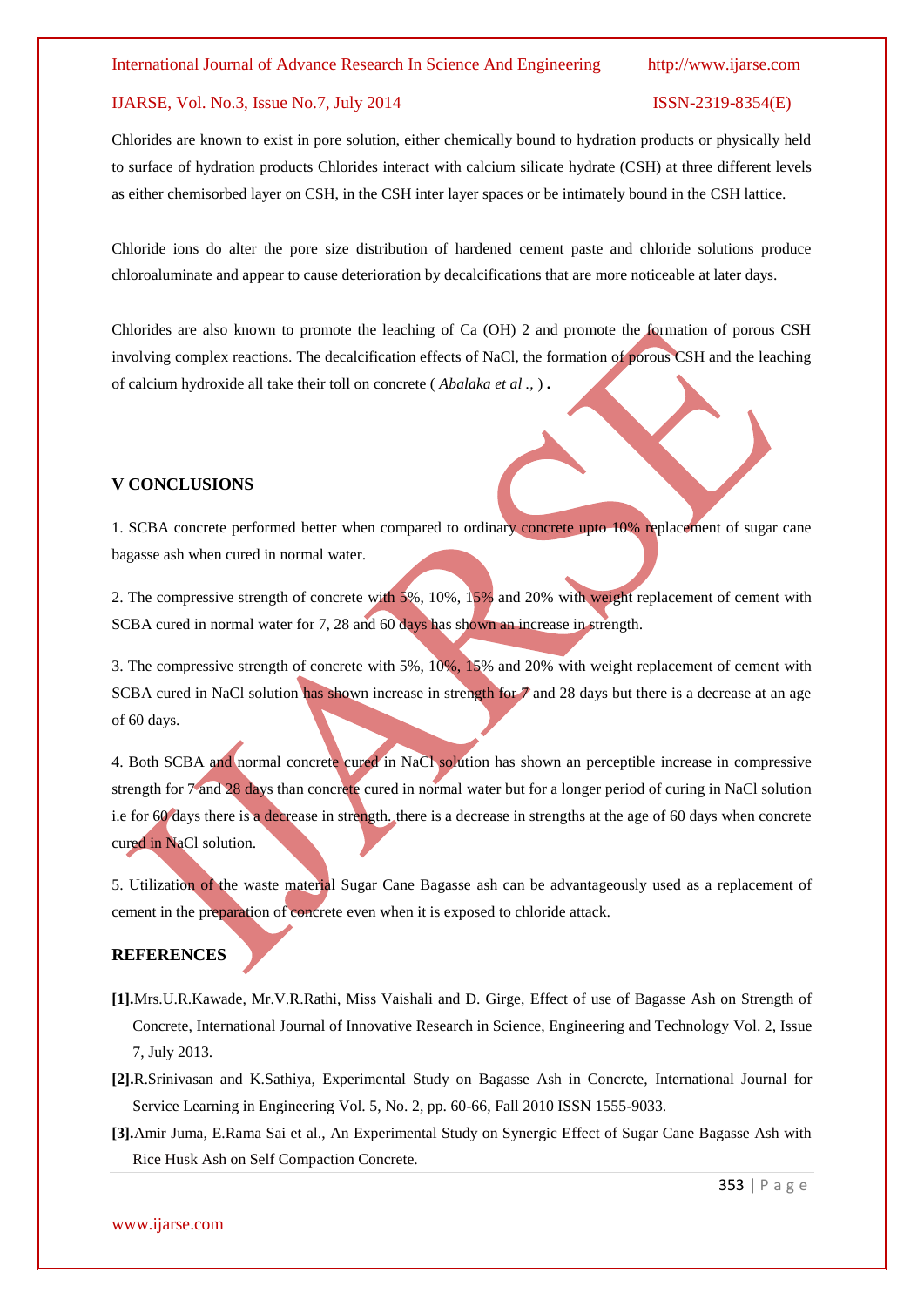#### IJARSE, Vol. No.3, Issue No.7, July 2014 ISSN-2319-8354(E)

Chlorides are known to exist in pore solution, either chemically bound to hydration products or physically held to surface of hydration products Chlorides interact with calcium silicate hydrate (CSH) at three different levels as either chemisorbed layer on CSH, in the CSH inter layer spaces or be intimately bound in the CSH lattice.

Chloride ions do alter the pore size distribution of hardened cement paste and chloride solutions produce chloroaluminate and appear to cause deterioration by decalcifications that are more noticeable at later days.

Chlorides are also known to promote the leaching of Ca (OH) 2 and promote the formation of porous CSH involving complex reactions. The decalcification effects of NaCl, the formation of porous CSH and the leaching of calcium hydroxide all take their toll on concrete ( *Abalaka et al .,* ) **.**

#### **V CONCLUSIONS**

1. SCBA concrete performed better when compared to ordinary concrete upto 10% replacement of sugar cane bagasse ash when cured in normal water.

2. The compressive strength of concrete with 5%, 10%, 15% and 20% with weight replacement of cement with SCBA cured in normal water for 7, 28 and 60 days has shown an increase in strength.

3. The compressive strength of concrete with 5%, 10%, 15% and 20% with weight replacement of cement with SCBA cured in NaCl solution has shown increase in strength for  $\tau$  and 28 days but there is a decrease at an age of 60 days.

4. Both SCBA and normal concrete cured in NaCl solution has shown an perceptible increase in compressive strength for 7 and 28 days than concrete cured in normal water but for a longer period of curing in NaCl solution i.e for 60 days there is a decrease in strength. there is a decrease in strengths at the age of 60 days when concrete cured in NaCl solution.

5. Utilization of the waste material Sugar Cane Bagasse ash can be advantageously used as a replacement of cement in the preparation of concrete even when it is exposed to chloride attack.

#### **REFERENCES**

- **[1].**Mrs.U.R.Kawade, Mr.V.R.Rathi, Miss Vaishali and D. Girge, Effect of use of Bagasse Ash on Strength of Concrete, International Journal of Innovative Research in Science, Engineering and Technology Vol. 2, Issue 7, July 2013.
- **[2].**R.Srinivasan and K.Sathiya, Experimental Study on Bagasse Ash in Concrete, International Journal for Service Learning in Engineering Vol. 5, No. 2, pp. 60-66, Fall 2010 ISSN 1555-9033.
- **[3].**Amir Juma, E.Rama Sai et al., An Experimental Study on Synergic Effect of Sugar Cane Bagasse Ash with Rice Husk Ash on Self Compaction Concrete.